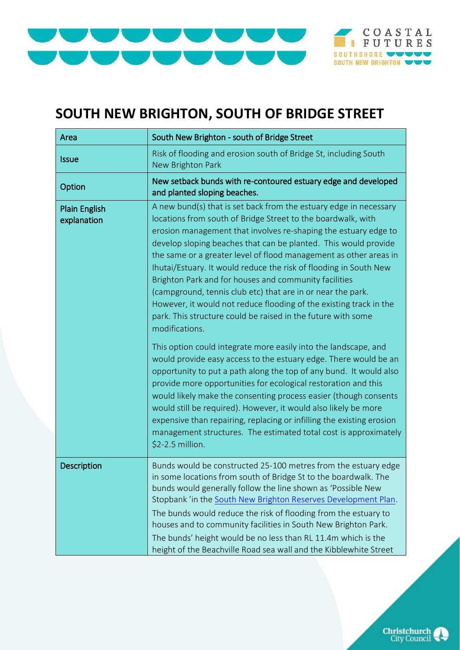



## **SOUTH NEW BRIGHTON, SOUTH OF BRIDGE STREET**

| Area                                | South New Brighton - south of Bridge Street                                                                                                                                                                                                                                                                                                                                                                                                                                                                                                                                                                                                                                                       |
|-------------------------------------|---------------------------------------------------------------------------------------------------------------------------------------------------------------------------------------------------------------------------------------------------------------------------------------------------------------------------------------------------------------------------------------------------------------------------------------------------------------------------------------------------------------------------------------------------------------------------------------------------------------------------------------------------------------------------------------------------|
| <b>Issue</b>                        | Risk of flooding and erosion south of Bridge St, including South<br>New Brighton Park                                                                                                                                                                                                                                                                                                                                                                                                                                                                                                                                                                                                             |
| Option                              | New setback bunds with re-contoured estuary edge and developed<br>and planted sloping beaches.                                                                                                                                                                                                                                                                                                                                                                                                                                                                                                                                                                                                    |
| <b>Plain English</b><br>explanation | A new bund(s) that is set back from the estuary edge in necessary<br>locations from south of Bridge Street to the boardwalk, with<br>erosion management that involves re-shaping the estuary edge to<br>develop sloping beaches that can be planted. This would provide<br>the same or a greater level of flood management as other areas in<br>Ihutai/Estuary. It would reduce the risk of flooding in South New<br>Brighton Park and for houses and community facilities<br>(campground, tennis club etc) that are in or near the park.<br>However, it would not reduce flooding of the existing track in the<br>park. This structure could be raised in the future with some<br>modifications. |
|                                     | This option could integrate more easily into the landscape, and<br>would provide easy access to the estuary edge. There would be an<br>opportunity to put a path along the top of any bund. It would also<br>provide more opportunities for ecological restoration and this<br>would likely make the consenting process easier (though consents<br>would still be required). However, it would also likely be more<br>expensive than repairing, replacing or infilling the existing erosion<br>management structures. The estimated total cost is approximately<br>\$2-2.5 million.                                                                                                               |
| Description                         | Bunds would be constructed 25-100 metres from the estuary edge<br>in some locations from south of Bridge St to the boardwalk. The<br>bunds would generally follow the line shown as 'Possible New<br>Stopbank' in the South New Brighton Reserves Development Plan.<br>The bunds would reduce the risk of flooding from the estuary to<br>houses and to community facilities in South New Brighton Park.<br>The bunds' height would be no less than RL 11.4m which is the<br>height of the Beachville Road sea wall and the Kibblewhite Street                                                                                                                                                    |

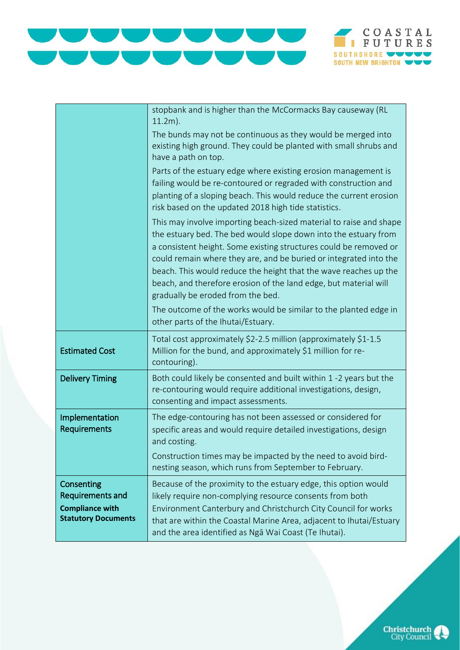



|                                                                                               | stopbank and is higher than the McCormacks Bay causeway (RL<br>$11.2m$ ).                                                                                                                                                                                                                                                                                                                                                                                    |
|-----------------------------------------------------------------------------------------------|--------------------------------------------------------------------------------------------------------------------------------------------------------------------------------------------------------------------------------------------------------------------------------------------------------------------------------------------------------------------------------------------------------------------------------------------------------------|
|                                                                                               | The bunds may not be continuous as they would be merged into<br>existing high ground. They could be planted with small shrubs and<br>have a path on top.                                                                                                                                                                                                                                                                                                     |
|                                                                                               | Parts of the estuary edge where existing erosion management is<br>failing would be re-contoured or regraded with construction and<br>planting of a sloping beach. This would reduce the current erosion<br>risk based on the updated 2018 high tide statistics.                                                                                                                                                                                              |
|                                                                                               | This may involve importing beach-sized material to raise and shape<br>the estuary bed. The bed would slope down into the estuary from<br>a consistent height. Some existing structures could be removed or<br>could remain where they are, and be buried or integrated into the<br>beach. This would reduce the height that the wave reaches up the<br>beach, and therefore erosion of the land edge, but material will<br>gradually be eroded from the bed. |
|                                                                                               | The outcome of the works would be similar to the planted edge in<br>other parts of the Ihutai/Estuary.                                                                                                                                                                                                                                                                                                                                                       |
| <b>Estimated Cost</b>                                                                         | Total cost approximately \$2-2.5 million (approximately \$1-1.5<br>Million for the bund, and approximately \$1 million for re-<br>contouring).                                                                                                                                                                                                                                                                                                               |
| <b>Delivery Timing</b>                                                                        | Both could likely be consented and built within 1 -2 years but the<br>re-contouring would require additional investigations, design,<br>consenting and impact assessments.                                                                                                                                                                                                                                                                                   |
| Implementation<br>Requirements                                                                | The edge-contouring has not been assessed or considered for<br>specific areas and would require detailed investigations, design<br>and costing.                                                                                                                                                                                                                                                                                                              |
|                                                                                               | Construction times may be impacted by the need to avoid bird-<br>nesting season, which runs from September to February.                                                                                                                                                                                                                                                                                                                                      |
| Consenting<br><b>Requirements and</b><br><b>Compliance with</b><br><b>Statutory Documents</b> | Because of the proximity to the estuary edge, this option would<br>likely require non-complying resource consents from both<br>Environment Canterbury and Christchurch City Council for works<br>that are within the Coastal Marine Area, adjacent to Ihutai/Estuary<br>and the area identified as Ngā Wai Coast (Te Ihutai).                                                                                                                                |

**Christchurch**